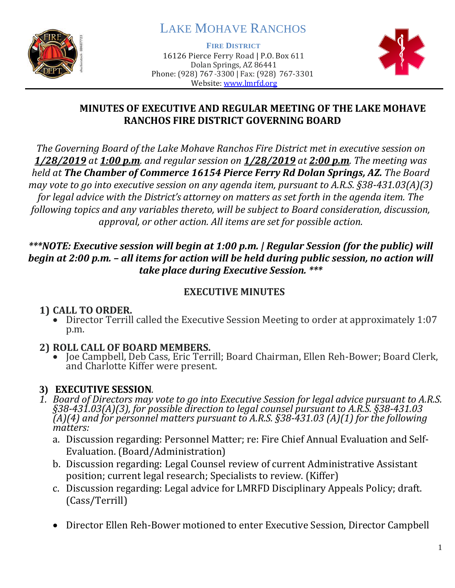

# LAKE MOHAVE RANCHOS

**FIRE DISTRICT**

16126 Pierce Ferry Road | P.O. Box 611 Dolan Springs, AZ 86441 Phone: (928) 767-3300 | Fax: (928) 767-3301 Website: [www.lmrfd.org](http://www.lmrfd.org/)



#### **MINUTES OF EXECUTIVE AND REGULAR MEETING OF THE LAKE MOHAVE RANCHOS FIRE DISTRICT GOVERNING BOARD**

*The Governing Board of the Lake Mohave Ranchos Fire District met in executive session on 1/28/2019 at 1:00 p.m. and regular session on 1/28/2019 at 2:00 p.m. The meeting was held at The Chamber of Commerce 16154 Pierce Ferry Rd Dolan Springs, AZ. The Board may vote to go into executive session on any agenda item, pursuant to A.R.S. §38-431.03(A)(3) for legal advice with the District's attorney on matters as set forth in the agenda item. The following topics and any variables thereto, will be subject to Board consideration, discussion, approval, or other action. All items are set for possible action.*

#### *\*\*\*NOTE: Executive session will begin at 1:00 p.m. | Regular Session (for the public) will begin at 2:00 p.m. – all items for action will be held during public session, no action will take place during Executive Session. \*\*\**

### **EXECUTIVE MINUTES**

## **1) CALL TO ORDER.**

• Director Terrill called the Executive Session Meeting to order at approximately 1:07 p.m.

## **2) ROLL CALL OF BOARD MEMBERS.**

• Joe Campbell, Deb Cass, Eric Terrill; Board Chairman, Ellen Reh-Bower; Board Clerk, and Charlotte Kiffer were present.

## **3) EXECUTIVE SESSION***.*

- *1. Board of Directors may vote to go into Executive Session for legal advice pursuant to A.R.S. §38-431.03(A)(3), for possible direction to legal counsel pursuant to A.R.S. §38-431.03 (A)(4) and for personnel matters pursuant to A.R.S. §38-431.03 (A)(1) for the following matters:*
	- a. Discussion regarding: Personnel Matter; re: Fire Chief Annual Evaluation and Self-Evaluation. (Board/Administration)
	- b. Discussion regarding: Legal Counsel review of current Administrative Assistant position; current legal research; Specialists to review. (Kiffer)
	- c. Discussion regarding: Legal advice for LMRFD Disciplinary Appeals Policy; draft. (Cass/Terrill)
	- Director Ellen Reh-Bower motioned to enter Executive Session, Director Campbell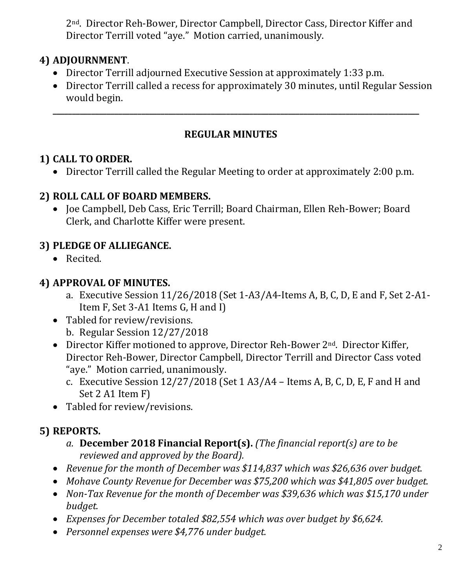2nd. Director Reh-Bower, Director Campbell, Director Cass, Director Kiffer and Director Terrill voted "aye." Motion carried, unanimously.

## **4) ADJOURNMENT**.

- Director Terrill adjourned Executive Session at approximately 1:33 p.m.
- Director Terrill called a recess for approximately 30 minutes, until Regular Session would begin.

### **REGULAR MINUTES**

**\_\_\_\_\_\_\_\_\_\_\_\_\_\_\_\_\_\_\_\_\_\_\_\_\_\_\_\_\_\_\_\_\_\_\_\_\_\_\_\_\_\_\_\_\_\_\_\_\_\_\_\_\_\_\_\_\_\_\_\_\_\_\_\_\_\_\_\_\_\_\_\_\_\_\_\_\_\_\_\_\_\_\_\_\_\_\_\_\_\_\_\_\_\_\_**

## **1) CALL TO ORDER.**

• Director Terrill called the Regular Meeting to order at approximately 2:00 p.m.

#### **2) ROLL CALL OF BOARD MEMBERS.**

• Joe Campbell, Deb Cass, Eric Terrill; Board Chairman, Ellen Reh-Bower; Board Clerk, and Charlotte Kiffer were present.

## **3) PLEDGE OF ALLIEGANCE.**

• Recited.

#### **4) APPROVAL OF MINUTES.**

- a. Executive Session 11/26/2018 (Set 1-A3/A4-Items A, B, C, D, E and F, Set 2-A1- Item F, Set 3-A1 Items G, H and I)
- Tabled for review/revisions.
	- b. Regular Session 12/27/2018
- Director Kiffer motioned to approve, Director Reh-Bower 2<sup>nd</sup>. Director Kiffer, Director Reh-Bower, Director Campbell, Director Terrill and Director Cass voted "aye." Motion carried, unanimously.
	- c. Executive Session 12/27/2018 (Set 1 A3/A4 Items A, B, C, D, E, F and H and Set 2 A1 Item F)
- Tabled for review/revisions.

# **5) REPORTS.**

- *a.* **December 2018 Financial Report(s).** *(The financial report(s) are to be reviewed and approved by the Board).*
- *Revenue for the month of December was \$114,837 which was \$26,636 over budget.*
- *Mohave County Revenue for December was \$75,200 which was \$41,805 over budget.*
- *Non‐Tax Revenue for the month of December was \$39,636 which was \$15,170 under budget.*
- *Expenses for December totaled \$82,554 which was over budget by \$6,624.*
- *Personnel expenses were \$4,776 under budget.*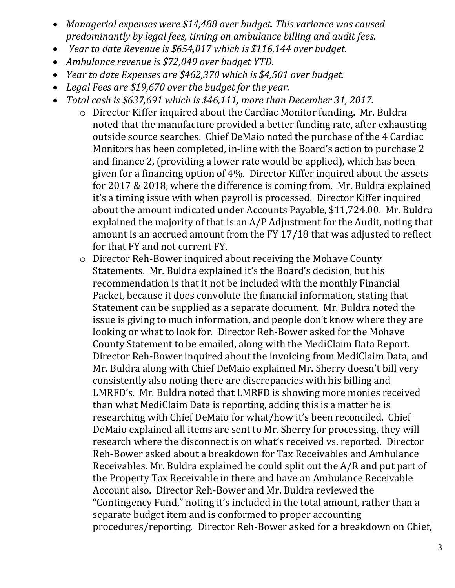- *Managerial expenses were \$14,488 over budget. This variance was caused predominantly by legal fees, timing on ambulance billing and audit fees.*
- *Year to date Revenue is \$654,017 which is \$116,144 over budget.*
- *Ambulance revenue is \$72,049 over budget YTD.*
- *Year to date Expenses are \$462,370 which is \$4,501 over budget.*
- *Legal Fees are \$19,670 over the budget for the year.*
- *Total cash is \$637,691 which is \$46,111, more than December 31, 2017.*
	- o Director Kiffer inquired about the Cardiac Monitor funding. Mr. Buldra noted that the manufacture provided a better funding rate, after exhausting outside source searches. Chief DeMaio noted the purchase of the 4 Cardiac Monitors has been completed, in-line with the Board's action to purchase 2 and finance 2, (providing a lower rate would be applied), which has been given for a financing option of 4%. Director Kiffer inquired about the assets for 2017 & 2018, where the difference is coming from. Mr. Buldra explained it's a timing issue with when payroll is processed. Director Kiffer inquired about the amount indicated under Accounts Payable, \$11,724.00. Mr. Buldra explained the majority of that is an A/P Adjustment for the Audit, noting that amount is an accrued amount from the FY 17/18 that was adjusted to reflect for that FY and not current FY.
	- o Director Reh-Bower inquired about receiving the Mohave County Statements. Mr. Buldra explained it's the Board's decision, but his recommendation is that it not be included with the monthly Financial Packet, because it does convolute the financial information, stating that Statement can be supplied as a separate document. Mr. Buldra noted the issue is giving to much information, and people don't know where they are looking or what to look for. Director Reh-Bower asked for the Mohave County Statement to be emailed, along with the MediClaim Data Report. Director Reh-Bower inquired about the invoicing from MediClaim Data, and Mr. Buldra along with Chief DeMaio explained Mr. Sherry doesn't bill very consistently also noting there are discrepancies with his billing and LMRFD's. Mr. Buldra noted that LMRFD is showing more monies received than what MediClaim Data is reporting, adding this is a matter he is researching with Chief DeMaio for what/how it's been reconciled. Chief DeMaio explained all items are sent to Mr. Sherry for processing, they will research where the disconnect is on what's received vs. reported. Director Reh-Bower asked about a breakdown for Tax Receivables and Ambulance Receivables. Mr. Buldra explained he could split out the A/R and put part of the Property Tax Receivable in there and have an Ambulance Receivable Account also. Director Reh-Bower and Mr. Buldra reviewed the "Contingency Fund," noting it's included in the total amount, rather than a separate budget item and is conformed to proper accounting procedures/reporting. Director Reh-Bower asked for a breakdown on Chief,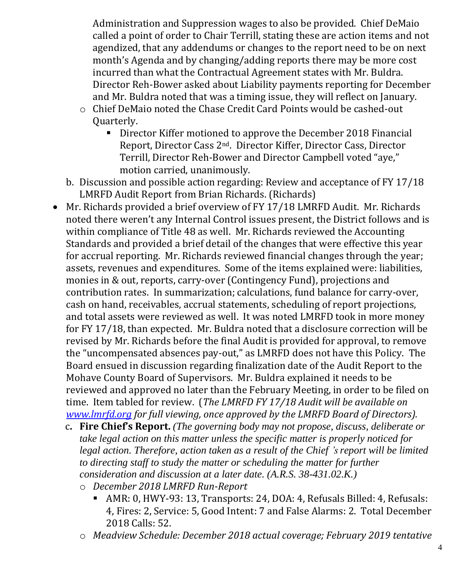Administration and Suppression wages to also be provided. Chief DeMaio called a point of order to Chair Terrill, stating these are action items and not agendized, that any addendums or changes to the report need to be on next month's Agenda and by changing/adding reports there may be more cost incurred than what the Contractual Agreement states with Mr. Buldra. Director Reh-Bower asked about Liability payments reporting for December and Mr. Buldra noted that was a timing issue, they will reflect on January.

- o Chief DeMaio noted the Chase Credit Card Points would be cashed-out Quarterly.
	- Director Kiffer motioned to approve the December 2018 Financial Report, Director Cass 2nd. Director Kiffer, Director Cass, Director Terrill, Director Reh-Bower and Director Campbell voted "aye," motion carried, unanimously.
- b. Discussion and possible action regarding: Review and acceptance of FY 17/18 LMRFD Audit Report from Brian Richards. (Richards)
- Mr. Richards provided a brief overview of FY 17/18 LMRFD Audit. Mr. Richards noted there weren't any Internal Control issues present, the District follows and is within compliance of Title 48 as well. Mr. Richards reviewed the Accounting Standards and provided a brief detail of the changes that were effective this year for accrual reporting. Mr. Richards reviewed financial changes through the year; assets, revenues and expenditures. Some of the items explained were: liabilities, monies in & out, reports, carry-over (Contingency Fund), projections and contribution rates. In summarization; calculations, fund balance for carry-over, cash on hand, receivables, accrual statements, scheduling of report projections, and total assets were reviewed as well. It was noted LMRFD took in more money for FY 17/18, than expected. Mr. Buldra noted that a disclosure correction will be revised by Mr. Richards before the final Audit is provided for approval, to remove the "uncompensated absences pay-out," as LMRFD does not have this Policy. The Board ensued in discussion regarding finalization date of the Audit Report to the Mohave County Board of Supervisors. Mr. Buldra explained it needs to be reviewed and approved no later than the February Meeting, in order to be filed on time. Item tabled for review. (*The LMRFD FY 17/18 Audit will be available on [www.lmrfd.org](http://www.lmrfd.org/) for full viewing, once approved by the LMRFD Board of Directors).* 
	- c**. Fire Chief's Report.** *(The governing body may not propose, discuss, deliberate or take legal action on this matter unless the specific matter is properly noticed for legal action. Therefore, action taken as a result of the Chief 's report will be limited to directing staff to study the matter or scheduling the matter for further consideration and discussion at a later date. (A.R.S. 38-431.02.K.)*
		- o *December 2018 LMRFD Run-Report*
			- AMR: 0, HWY-93: 13, Transports: 24, DOA: 4, Refusals Billed: 4, Refusals: 4, Fires: 2, Service: 5, Good Intent: 7 and False Alarms: 2. Total December 2018 Calls: 52.
		- o *Meadview Schedule: December 2018 actual coverage; February 2019 tentative*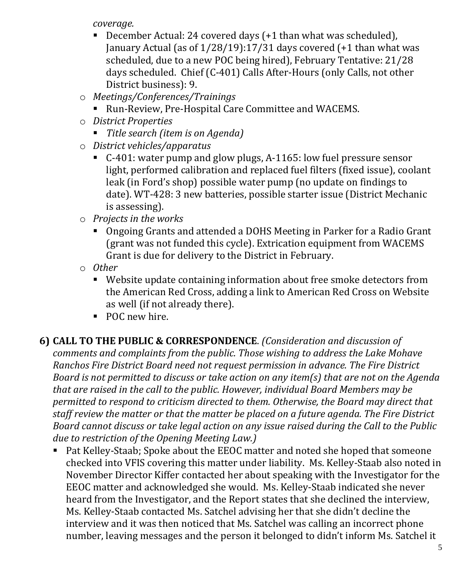*coverage.*

- December Actual: 24 covered days  $(+1)$  than what was scheduled), January Actual (as of 1/28/19):17/31 days covered (+1 than what was scheduled, due to a new POC being hired), February Tentative: 21/28 days scheduled. Chief (C-401) Calls After-Hours (only Calls, not other District business): 9.
- o *Meetings/Conferences/Trainings* 
	- Run-Review, Pre-Hospital Care Committee and WACEMS.
- o *District Properties*
	- *Title search (item is on Agenda)*
- o *District vehicles/apparatus*
	- C-401: water pump and glow plugs, A-1165: low fuel pressure sensor light, performed calibration and replaced fuel filters (fixed issue), coolant leak (in Ford's shop) possible water pump (no update on findings to date). WT-428: 3 new batteries, possible starter issue (District Mechanic is assessing).
- o *Projects in the works*
	- Ongoing Grants and attended a DOHS Meeting in Parker for a Radio Grant (grant was not funded this cycle). Extrication equipment from WACEMS Grant is due for delivery to the District in February.
- o *Other*
	- Website update containing information about free smoke detectors from the American Red Cross, adding a link to American Red Cross on Website as well (if not already there).
	- POC new hire.

# **6) CALL TO THE PUBLIC & CORRESPONDENCE**. *(Consideration and discussion of*

*comments and complaints from the public. Those wishing to address the Lake Mohave Ranchos Fire District Board need not request permission in advance. The Fire District Board is not permitted to discuss or take action on any item(s) that are not on the Agenda that are raised in the call to the public. However, individual Board Members may be permitted to respond to criticism directed to them. Otherwise, the Board may direct that staff review the matter or that the matter be placed on a future agenda. The Fire District Board cannot discuss or take legal action on any issue raised during the Call to the Public due to restriction of the Opening Meeting Law.)*

■ Pat Kelley-Staab; Spoke about the EEOC matter and noted she hoped that someone checked into VFIS covering this matter under liability. Ms. Kelley-Staab also noted in November Director Kiffer contacted her about speaking with the Investigator for the EEOC matter and acknowledged she would. Ms. Kelley-Staab indicated she never heard from the Investigator, and the Report states that she declined the interview, Ms. Kelley-Staab contacted Ms. Satchel advising her that she didn't decline the interview and it was then noticed that Ms. Satchel was calling an incorrect phone number, leaving messages and the person it belonged to didn't inform Ms. Satchel it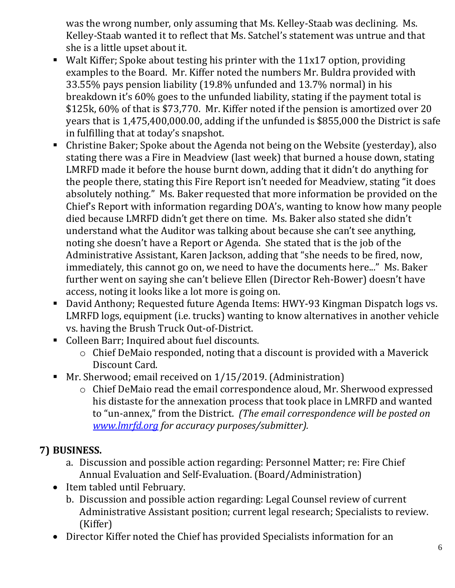was the wrong number, only assuming that Ms. Kelley-Staab was declining. Ms. Kelley-Staab wanted it to reflect that Ms. Satchel's statement was untrue and that she is a little upset about it.

- Walt Kiffer; Spoke about testing his printer with the 11x17 option, providing examples to the Board. Mr. Kiffer noted the numbers Mr. Buldra provided with 33.55% pays pension liability (19.8% unfunded and 13.7% normal) in his breakdown it's 60% goes to the unfunded liability, stating if the payment total is \$125k, 60% of that is \$73,770. Mr. Kiffer noted if the pension is amortized over 20 years that is 1,475,400,000.00, adding if the unfunded is \$855,000 the District is safe in fulfilling that at today's snapshot.
- Christine Baker; Spoke about the Agenda not being on the Website (yesterday), also stating there was a Fire in Meadview (last week) that burned a house down, stating LMRFD made it before the house burnt down, adding that it didn't do anything for the people there, stating this Fire Report isn't needed for Meadview, stating "it does absolutely nothing." Ms. Baker requested that more information be provided on the Chief's Report with information regarding DOA's, wanting to know how many people died because LMRFD didn't get there on time. Ms. Baker also stated she didn't understand what the Auditor was talking about because she can't see anything, noting she doesn't have a Report or Agenda. She stated that is the job of the Administrative Assistant, Karen Jackson, adding that "she needs to be fired, now, immediately, this cannot go on, we need to have the documents here..." Ms. Baker further went on saying she can't believe Ellen (Director Reh-Bower) doesn't have access, noting it looks like a lot more is going on.
- David Anthony; Requested future Agenda Items: HWY-93 Kingman Dispatch logs vs. LMRFD logs, equipment (i.e. trucks) wanting to know alternatives in another vehicle vs. having the Brush Truck Out-of-District.
- Colleen Barr; Inquired about fuel discounts.
	- o Chief DeMaio responded, noting that a discount is provided with a Maverick Discount Card.
- Mr. Sherwood; email received on 1/15/2019. (Administration)
	- o Chief DeMaio read the email correspondence aloud, Mr. Sherwood expressed his distaste for the annexation process that took place in LMRFD and wanted to "un-annex," from the District. *(The email correspondence will be posted on [www.lmrfd.org](http://www.lmrfd.org/) for accuracy purposes/submitter).*

# **7) BUSINESS.**

- a. Discussion and possible action regarding: Personnel Matter; re: Fire Chief Annual Evaluation and Self-Evaluation. (Board/Administration)
- Item tabled until February.
	- b. Discussion and possible action regarding: Legal Counsel review of current Administrative Assistant position; current legal research; Specialists to review. (Kiffer)
- Director Kiffer noted the Chief has provided Specialists information for an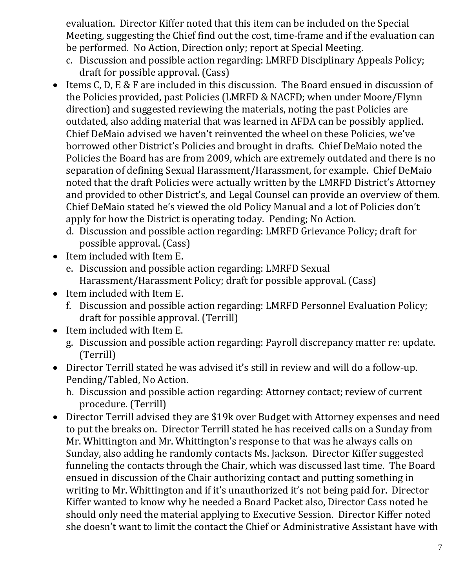evaluation. Director Kiffer noted that this item can be included on the Special Meeting, suggesting the Chief find out the cost, time-frame and if the evaluation can be performed. No Action, Direction only; report at Special Meeting.

- c. Discussion and possible action regarding: LMRFD Disciplinary Appeals Policy; draft for possible approval. (Cass)
- Items C, D, E & F are included in this discussion. The Board ensued in discussion of the Policies provided, past Policies (LMRFD & NACFD; when under Moore/Flynn direction) and suggested reviewing the materials, noting the past Policies are outdated, also adding material that was learned in AFDA can be possibly applied. Chief DeMaio advised we haven't reinvented the wheel on these Policies, we've borrowed other District's Policies and brought in drafts. Chief DeMaio noted the Policies the Board has are from 2009, which are extremely outdated and there is no separation of defining Sexual Harassment/Harassment, for example. Chief DeMaio noted that the draft Policies were actually written by the LMRFD District's Attorney and provided to other District's, and Legal Counsel can provide an overview of them. Chief DeMaio stated he's viewed the old Policy Manual and a lot of Policies don't apply for how the District is operating today. Pending; No Action.
	- d. Discussion and possible action regarding: LMRFD Grievance Policy; draft for possible approval. (Cass)
- Item included with Item E.
	- e. Discussion and possible action regarding: LMRFD Sexual Harassment/Harassment Policy; draft for possible approval. (Cass)
- Item included with Item E.
	- f. Discussion and possible action regarding: LMRFD Personnel Evaluation Policy; draft for possible approval. (Terrill)
- Item included with Item E.
	- g. Discussion and possible action regarding: Payroll discrepancy matter re: update. (Terrill)
- Director Terrill stated he was advised it's still in review and will do a follow-up. Pending/Tabled, No Action.
	- h. Discussion and possible action regarding: Attorney contact; review of current procedure. (Terrill)
- Director Terrill advised they are \$19k over Budget with Attorney expenses and need to put the breaks on. Director Terrill stated he has received calls on a Sunday from Mr. Whittington and Mr. Whittington's response to that was he always calls on Sunday, also adding he randomly contacts Ms. Jackson. Director Kiffer suggested funneling the contacts through the Chair, which was discussed last time. The Board ensued in discussion of the Chair authorizing contact and putting something in writing to Mr. Whittington and if it's unauthorized it's not being paid for. Director Kiffer wanted to know why he needed a Board Packet also, Director Cass noted he should only need the material applying to Executive Session. Director Kiffer noted she doesn't want to limit the contact the Chief or Administrative Assistant have with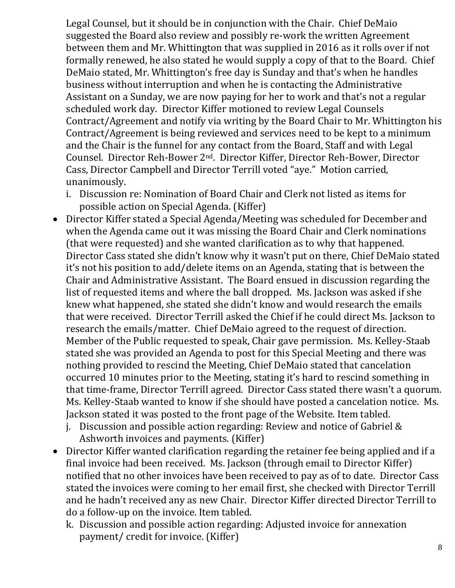Legal Counsel, but it should be in conjunction with the Chair. Chief DeMaio suggested the Board also review and possibly re-work the written Agreement between them and Mr. Whittington that was supplied in 2016 as it rolls over if not formally renewed, he also stated he would supply a copy of that to the Board. Chief DeMaio stated, Mr. Whittington's free day is Sunday and that's when he handles business without interruption and when he is contacting the Administrative Assistant on a Sunday, we are now paying for her to work and that's not a regular scheduled work day. Director Kiffer motioned to review Legal Counsels Contract/Agreement and notify via writing by the Board Chair to Mr. Whittington his Contract/Agreement is being reviewed and services need to be kept to a minimum and the Chair is the funnel for any contact from the Board, Staff and with Legal Counsel. Director Reh-Bower 2nd. Director Kiffer, Director Reh-Bower, Director Cass, Director Campbell and Director Terrill voted "aye." Motion carried, unanimously.

- i. Discussion re: Nomination of Board Chair and Clerk not listed as items for possible action on Special Agenda. (Kiffer)
- Director Kiffer stated a Special Agenda/Meeting was scheduled for December and when the Agenda came out it was missing the Board Chair and Clerk nominations (that were requested) and she wanted clarification as to why that happened. Director Cass stated she didn't know why it wasn't put on there, Chief DeMaio stated it's not his position to add/delete items on an Agenda, stating that is between the Chair and Administrative Assistant. The Board ensued in discussion regarding the list of requested items and where the ball dropped. Ms. Jackson was asked if she knew what happened, she stated she didn't know and would research the emails that were received. Director Terrill asked the Chief if he could direct Ms. Jackson to research the emails/matter. Chief DeMaio agreed to the request of direction. Member of the Public requested to speak, Chair gave permission. Ms. Kelley-Staab stated she was provided an Agenda to post for this Special Meeting and there was nothing provided to rescind the Meeting, Chief DeMaio stated that cancelation occurred 10 minutes prior to the Meeting, stating it's hard to rescind something in that time-frame, Director Terrill agreed. Director Cass stated there wasn't a quorum. Ms. Kelley-Staab wanted to know if she should have posted a cancelation notice. Ms. Jackson stated it was posted to the front page of the Website. Item tabled.
	- j. Discussion and possible action regarding: Review and notice of Gabriel & Ashworth invoices and payments. (Kiffer)
- Director Kiffer wanted clarification regarding the retainer fee being applied and if a final invoice had been received. Ms. Jackson (through email to Director Kiffer) notified that no other invoices have been received to pay as of to date. Director Cass stated the invoices were coming to her email first, she checked with Director Terrill and he hadn't received any as new Chair. Director Kiffer directed Director Terrill to do a follow-up on the invoice. Item tabled.
	- k. Discussion and possible action regarding: Adjusted invoice for annexation payment/ credit for invoice. (Kiffer)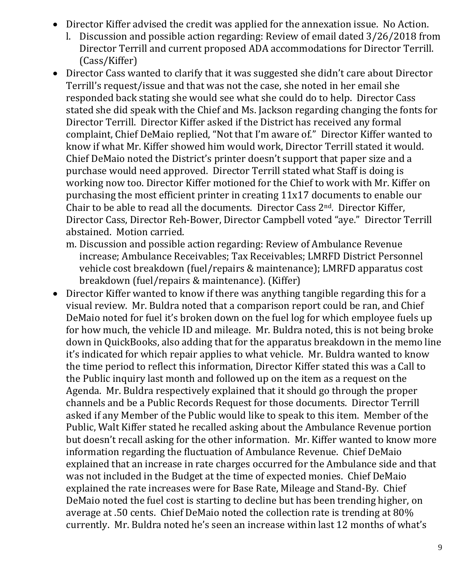- Director Kiffer advised the credit was applied for the annexation issue. No Action.
	- l. Discussion and possible action regarding: Review of email dated 3/26/2018 from Director Terrill and current proposed ADA accommodations for Director Terrill. (Cass/Kiffer)
- Director Cass wanted to clarify that it was suggested she didn't care about Director Terrill's request/issue and that was not the case, she noted in her email she responded back stating she would see what she could do to help. Director Cass stated she did speak with the Chief and Ms. Jackson regarding changing the fonts for Director Terrill. Director Kiffer asked if the District has received any formal complaint, Chief DeMaio replied, "Not that I'm aware of." Director Kiffer wanted to know if what Mr. Kiffer showed him would work, Director Terrill stated it would. Chief DeMaio noted the District's printer doesn't support that paper size and a purchase would need approved. Director Terrill stated what Staff is doing is working now too. Director Kiffer motioned for the Chief to work with Mr. Kiffer on purchasing the most efficient printer in creating 11x17 documents to enable our Chair to be able to read all the documents. Director Cass 2nd. Director Kiffer, Director Cass, Director Reh-Bower, Director Campbell voted "aye." Director Terrill abstained. Motion carried.
	- m. Discussion and possible action regarding: Review of Ambulance Revenue increase; Ambulance Receivables; Tax Receivables; LMRFD District Personnel vehicle cost breakdown (fuel/repairs & maintenance); LMRFD apparatus cost breakdown (fuel/repairs & maintenance). (Kiffer)
- Director Kiffer wanted to know if there was anything tangible regarding this for a visual review. Mr. Buldra noted that a comparison report could be ran, and Chief DeMaio noted for fuel it's broken down on the fuel log for which employee fuels up for how much, the vehicle ID and mileage. Mr. Buldra noted, this is not being broke down in QuickBooks, also adding that for the apparatus breakdown in the memo line it's indicated for which repair applies to what vehicle. Mr. Buldra wanted to know the time period to reflect this information, Director Kiffer stated this was a Call to the Public inquiry last month and followed up on the item as a request on the Agenda. Mr. Buldra respectively explained that it should go through the proper channels and be a Public Records Request for those documents. Director Terrill asked if any Member of the Public would like to speak to this item. Member of the Public, Walt Kiffer stated he recalled asking about the Ambulance Revenue portion but doesn't recall asking for the other information. Mr. Kiffer wanted to know more information regarding the fluctuation of Ambulance Revenue. Chief DeMaio explained that an increase in rate charges occurred for the Ambulance side and that was not included in the Budget at the time of expected monies. Chief DeMaio explained the rate increases were for Base Rate, Mileage and Stand-By. Chief DeMaio noted the fuel cost is starting to decline but has been trending higher, on average at .50 cents. Chief DeMaio noted the collection rate is trending at 80% currently. Mr. Buldra noted he's seen an increase within last 12 months of what's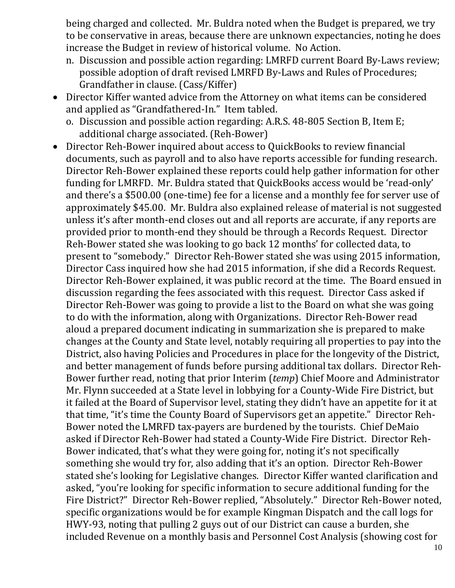being charged and collected. Mr. Buldra noted when the Budget is prepared, we try to be conservative in areas, because there are unknown expectancies, noting he does increase the Budget in review of historical volume. No Action.

- n. Discussion and possible action regarding: LMRFD current Board By-Laws review; possible adoption of draft revised LMRFD By-Laws and Rules of Procedures; Grandfather in clause. (Cass/Kiffer)
- Director Kiffer wanted advice from the Attorney on what items can be considered and applied as "Grandfathered-In." Item tabled.
	- o. Discussion and possible action regarding: A.R.S. 48-805 Section B, Item E; additional charge associated. (Reh-Bower)
- Director Reh-Bower inquired about access to QuickBooks to review financial documents, such as payroll and to also have reports accessible for funding research. Director Reh-Bower explained these reports could help gather information for other funding for LMRFD. Mr. Buldra stated that QuickBooks access would be 'read-only' and there's a \$500.00 (one-time) fee for a license and a monthly fee for server use of approximately \$45.00. Mr. Buldra also explained release of material is not suggested unless it's after month-end closes out and all reports are accurate, if any reports are provided prior to month-end they should be through a Records Request. Director Reh-Bower stated she was looking to go back 12 months' for collected data, to present to "somebody." Director Reh-Bower stated she was using 2015 information, Director Cass inquired how she had 2015 information, if she did a Records Request. Director Reh-Bower explained, it was public record at the time. The Board ensued in discussion regarding the fees associated with this request. Director Cass asked if Director Reh-Bower was going to provide a list to the Board on what she was going to do with the information, along with Organizations. Director Reh-Bower read aloud a prepared document indicating in summarization she is prepared to make changes at the County and State level, notably requiring all properties to pay into the District, also having Policies and Procedures in place for the longevity of the District, and better management of funds before pursing additional tax dollars. Director Reh-Bower further read, noting that prior Interim (*temp*) Chief Moore and Administrator Mr. Flynn succeeded at a State level in lobbying for a County-Wide Fire District, but it failed at the Board of Supervisor level, stating they didn't have an appetite for it at that time, "it's time the County Board of Supervisors get an appetite." Director Reh-Bower noted the LMRFD tax-payers are burdened by the tourists. Chief DeMaio asked if Director Reh-Bower had stated a County-Wide Fire District. Director Reh-Bower indicated, that's what they were going for, noting it's not specifically something she would try for, also adding that it's an option. Director Reh-Bower stated she's looking for Legislative changes. Director Kiffer wanted clarification and asked, "you're looking for specific information to secure additional funding for the Fire District?" Director Reh-Bower replied, "Absolutely." Director Reh-Bower noted, specific organizations would be for example Kingman Dispatch and the call logs for HWY-93, noting that pulling 2 guys out of our District can cause a burden, she included Revenue on a monthly basis and Personnel Cost Analysis (showing cost for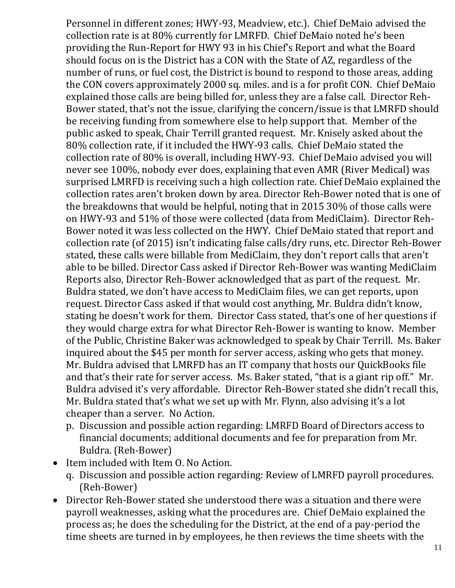Personnel in different zones; HWY-93, Meadview, etc.). Chief DeMaio advised the collection rate is at 80% currently for LMRFD. Chief DeMaio noted he's been providing the Run-Report for HWY 93 in his Chief's Report and what the Board should focus on is the District has a CON with the State of AZ, regardless of the number of runs, or fuel cost, the District is bound to respond to those areas, adding the CON covers approximately 2000 sq. miles. and is a for profit CON. Chief DeMaio explained those calls are being billed for, unless they are a false call. Director Reh-Bower stated, that's not the issue, clarifying the concern/issue is that LMRFD should be receiving funding from somewhere else to help support that. Member of the public asked to speak, Chair Terrill granted request. Mr. Knisely asked about the 80% collection rate, if it included the HWY-93 calls. Chief DeMaio stated the collection rate of 80% is overall, including HWY-93. Chief DeMaio advised you will never see 100%, nobody ever does, explaining that even AMR (River Medical) was surprised LMRFD is receiving such a high collection rate. Chief DeMaio explained the collection rates aren't broken down by area. Director Reh-Bower noted that is one of the breakdowns that would be helpful, noting that in 2015 30% of those calls were on HWY-93 and 51% of those were collected (data from MediClaim). Director Reh-Bower noted it was less collected on the HWY. Chief DeMaio stated that report and collection rate (of 2015) isn't indicating false calls/dry runs, etc. Director Reh-Bower stated, these calls were billable from MediClaim, they don't report calls that aren't able to be billed. Director Cass asked if Director Reh-Bower was wanting MediClaim Reports also, Director Reh-Bower acknowledged that as part of the request. Mr. Buldra stated, we don't have access to MediClaim files, we can get reports, upon request. Director Cass asked if that would cost anything, Mr. Buldra didn't know, stating he doesn't work for them. Director Cass stated, that's one of her questions if they would charge extra for what Director Reh-Bower is wanting to know. Member of the Public, Christine Baker was acknowledged to speak by Chair Terrill. Ms. Baker inquired about the \$45 per month for server access, asking who gets that money. Mr. Buldra advised that LMRFD has an IT company that hosts our QuickBooks file and that's their rate for server access. Ms. Baker stated, "that is a giant rip off." Mr. Buldra advised it's very affordable. Director Reh-Bower stated she didn't recall this, Mr. Buldra stated that's what we set up with Mr. Flynn, also advising it's a lot cheaper than a server. No Action.

- p. Discussion and possible action regarding: LMRFD Board of Directors access to financial documents; additional documents and fee for preparation from Mr. Buldra. (Reh-Bower)
- Item included with Item O. No Action.
	- q. Discussion and possible action regarding: Review of LMRFD payroll procedures. (Reh-Bower)
- Director Reh-Bower stated she understood there was a situation and there were payroll weaknesses, asking what the procedures are. Chief DeMaio explained the process as; he does the scheduling for the District, at the end of a pay-period the time sheets are turned in by employees, he then reviews the time sheets with the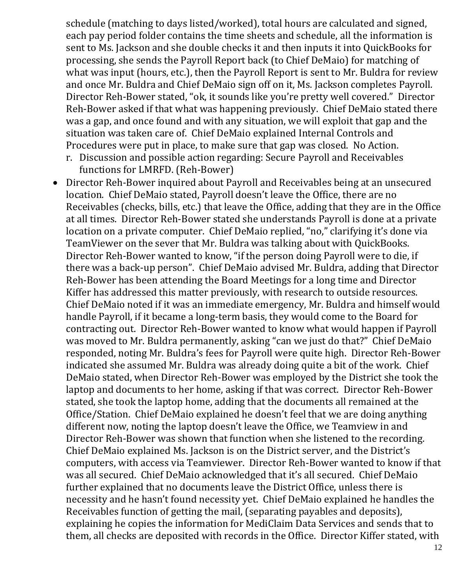schedule (matching to days listed/worked), total hours are calculated and signed, each pay period folder contains the time sheets and schedule, all the information is sent to Ms. Jackson and she double checks it and then inputs it into QuickBooks for processing, she sends the Payroll Report back (to Chief DeMaio) for matching of what was input (hours, etc.), then the Payroll Report is sent to Mr. Buldra for review and once Mr. Buldra and Chief DeMaio sign off on it, Ms. Jackson completes Payroll. Director Reh-Bower stated, "ok, it sounds like you're pretty well covered." Director Reh-Bower asked if that what was happening previously. Chief DeMaio stated there was a gap, and once found and with any situation, we will exploit that gap and the situation was taken care of. Chief DeMaio explained Internal Controls and Procedures were put in place, to make sure that gap was closed. No Action.

- r. Discussion and possible action regarding: Secure Payroll and Receivables functions for LMRFD. (Reh-Bower)
- Director Reh-Bower inquired about Payroll and Receivables being at an unsecured location. Chief DeMaio stated, Payroll doesn't leave the Office, there are no Receivables (checks, bills, etc.) that leave the Office, adding that they are in the Office at all times. Director Reh-Bower stated she understands Payroll is done at a private location on a private computer. Chief DeMaio replied, "no," clarifying it's done via TeamViewer on the sever that Mr. Buldra was talking about with QuickBooks. Director Reh-Bower wanted to know, "if the person doing Payroll were to die, if there was a back-up person". Chief DeMaio advised Mr. Buldra, adding that Director Reh-Bower has been attending the Board Meetings for a long time and Director Kiffer has addressed this matter previously, with research to outside resources. Chief DeMaio noted if it was an immediate emergency, Mr. Buldra and himself would handle Payroll, if it became a long-term basis, they would come to the Board for contracting out. Director Reh-Bower wanted to know what would happen if Payroll was moved to Mr. Buldra permanently, asking "can we just do that?" Chief DeMaio responded, noting Mr. Buldra's fees for Payroll were quite high. Director Reh-Bower indicated she assumed Mr. Buldra was already doing quite a bit of the work. Chief DeMaio stated, when Director Reh-Bower was employed by the District she took the laptop and documents to her home, asking if that was correct. Director Reh-Bower stated, she took the laptop home, adding that the documents all remained at the Office/Station. Chief DeMaio explained he doesn't feel that we are doing anything different now, noting the laptop doesn't leave the Office, we Teamview in and Director Reh-Bower was shown that function when she listened to the recording. Chief DeMaio explained Ms. Jackson is on the District server, and the District's computers, with access via Teamviewer. Director Reh-Bower wanted to know if that was all secured. Chief DeMaio acknowledged that it's all secured. Chief DeMaio further explained that no documents leave the District Office, unless there is necessity and he hasn't found necessity yet. Chief DeMaio explained he handles the Receivables function of getting the mail, (separating payables and deposits), explaining he copies the information for MediClaim Data Services and sends that to them, all checks are deposited with records in the Office. Director Kiffer stated, with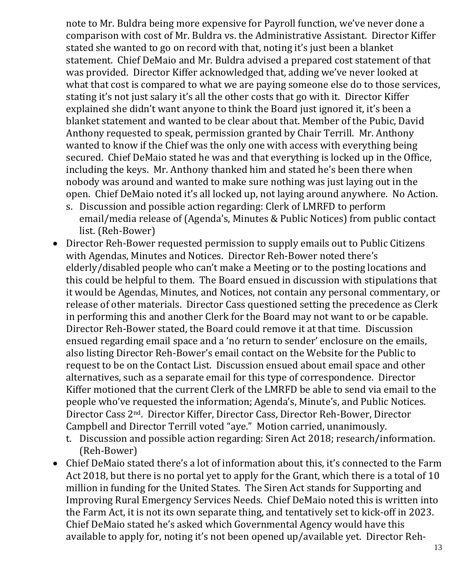note to Mr. Buldra being more expensive for Payroll function, we've never done a comparison with cost of Mr. Buldra vs. the Administrative Assistant. Director Kiffer stated she wanted to go on record with that, noting it's just been a blanket statement. Chief DeMaio and Mr. Buldra advised a prepared cost statement of that was provided. Director Kiffer acknowledged that, adding we've never looked at what that cost is compared to what we are paying someone else do to those services, stating it's not just salary it's all the other costs that go with it. Director Kiffer explained she didn't want anyone to think the Board just ignored it, it's been a blanket statement and wanted to be clear about that. Member of the Pubic, David Anthony requested to speak, permission granted by Chair Terrill. Mr. Anthony wanted to know if the Chief was the only one with access with everything being secured. Chief DeMaio stated he was and that everything is locked up in the Office, including the keys. Mr. Anthony thanked him and stated he's been there when nobody was around and wanted to make sure nothing was just laying out in the open. Chief DeMaio noted it's all locked up, not laying around anywhere. No Action.

- s. Discussion and possible action regarding: Clerk of LMRFD to perform email/media release of (Agenda's, Minutes & Public Notices) from public contact list. (Reh-Bower)
- Director Reh-Bower requested permission to supply emails out to Public Citizens with Agendas, Minutes and Notices. Director Reh-Bower noted there's elderly/disabled people who can't make a Meeting or to the posting locations and this could be helpful to them. The Board ensued in discussion with stipulations that it would be Agendas, Minutes, and Notices, not contain any personal commentary, or release of other materials. Director Cass questioned setting the precedence as Clerk in performing this and another Clerk for the Board may not want to or be capable. Director Reh-Bower stated, the Board could remove it at that time. Discussion ensued regarding email space and a 'no return to sender' enclosure on the emails, also listing Director Reh-Bower's email contact on the Website for the Public to request to be on the Contact List. Discussion ensued about email space and other alternatives, such as a separate email for this type of correspondence. Director Kiffer motioned that the current Clerk of the LMRFD be able to send via email to the people who've requested the information; Agenda's, Minute's, and Public Notices. Director Cass 2nd. Director Kiffer, Director Cass, Director Reh-Bower, Director Campbell and Director Terrill voted "aye." Motion carried, unanimously.
	- t. Discussion and possible action regarding: Siren Act 2018; research/information. (Reh-Bower)
- Chief DeMaio stated there's a lot of information about this, it's connected to the Farm Act 2018, but there is no portal yet to apply for the Grant, which there is a total of 10 million in funding for the United States. The Siren Act stands for Supporting and Improving Rural Emergency Services Needs. Chief DeMaio noted this is written into the Farm Act, it is not its own separate thing, and tentatively set to kick-off in 2023. Chief DeMaio stated he's asked which Governmental Agency would have this available to apply for, noting it's not been opened up/available yet. Director Reh-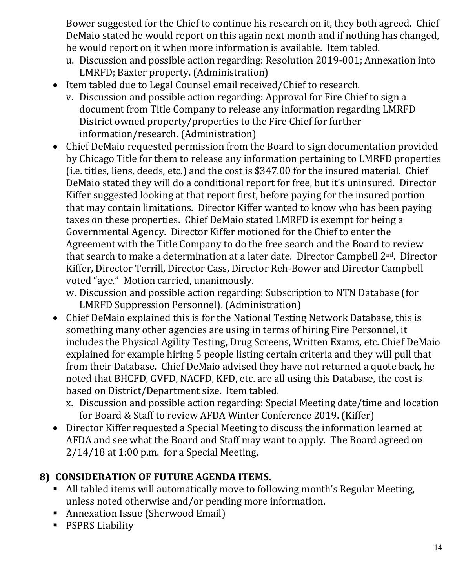Bower suggested for the Chief to continue his research on it, they both agreed. Chief DeMaio stated he would report on this again next month and if nothing has changed, he would report on it when more information is available. Item tabled.

- u. Discussion and possible action regarding: Resolution 2019-001; Annexation into LMRFD; Baxter property. (Administration)
- Item tabled due to Legal Counsel email received/Chief to research.
	- v. Discussion and possible action regarding: Approval for Fire Chief to sign a document from Title Company to release any information regarding LMRFD District owned property/properties to the Fire Chief for further information/research. (Administration)
- Chief DeMaio requested permission from the Board to sign documentation provided by Chicago Title for them to release any information pertaining to LMRFD properties (i.e. titles, liens, deeds, etc.) and the cost is \$347.00 for the insured material. Chief DeMaio stated they will do a conditional report for free, but it's uninsured. Director Kiffer suggested looking at that report first, before paying for the insured portion that may contain limitations. Director Kiffer wanted to know who has been paying taxes on these properties. Chief DeMaio stated LMRFD is exempt for being a Governmental Agency. Director Kiffer motioned for the Chief to enter the Agreement with the Title Company to do the free search and the Board to review that search to make a determination at a later date. Director Campbell 2nd. Director Kiffer, Director Terrill, Director Cass, Director Reh-Bower and Director Campbell voted "aye." Motion carried, unanimously.

w. Discussion and possible action regarding: Subscription to NTN Database (for LMRFD Suppression Personnel). (Administration)

- Chief DeMaio explained this is for the National Testing Network Database, this is something many other agencies are using in terms of hiring Fire Personnel, it includes the Physical Agility Testing, Drug Screens, Written Exams, etc. Chief DeMaio explained for example hiring 5 people listing certain criteria and they will pull that from their Database. Chief DeMaio advised they have not returned a quote back, he noted that BHCFD, GVFD, NACFD, KFD, etc. are all using this Database, the cost is based on District/Department size. Item tabled.
	- x. Discussion and possible action regarding: Special Meeting date/time and location for Board & Staff to review AFDA Winter Conference 2019. (Kiffer)
- Director Kiffer requested a Special Meeting to discuss the information learned at AFDA and see what the Board and Staff may want to apply. The Board agreed on 2/14/18 at 1:00 p.m. for a Special Meeting.

# **8) CONSIDERATION OF FUTURE AGENDA ITEMS.**

- All tabled items will automatically move to following month's Regular Meeting, unless noted otherwise and/or pending more information.
- Annexation Issue (Sherwood Email)
- **·** PSPRS Liability